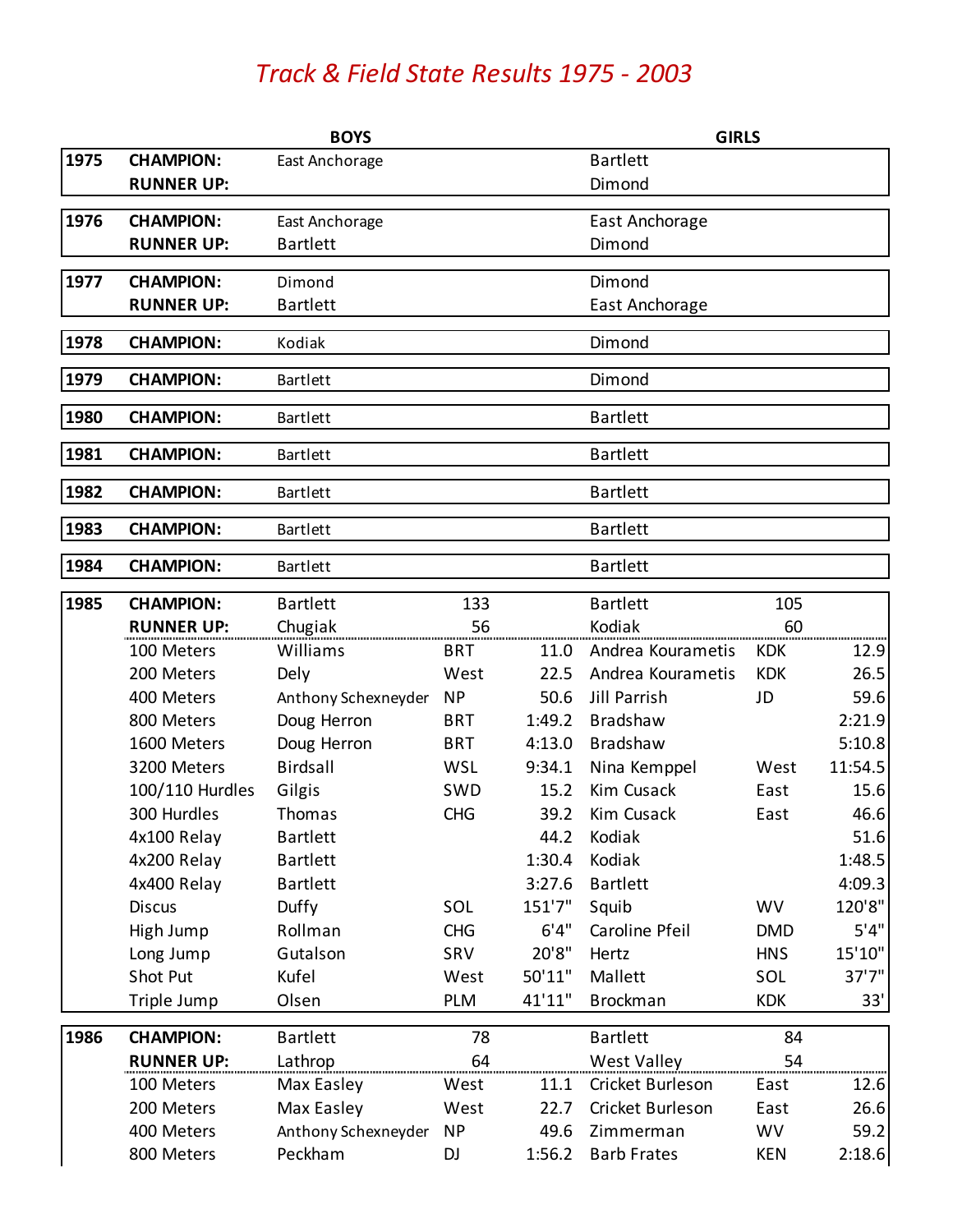## *Track & Field State Results 1975 - 2003*

|      | <b>BOYS</b>       |                     |            |        | <b>GIRLS</b>       |            |         |  |
|------|-------------------|---------------------|------------|--------|--------------------|------------|---------|--|
| 1975 | <b>CHAMPION:</b>  | East Anchorage      |            |        | <b>Bartlett</b>    |            |         |  |
|      | <b>RUNNER UP:</b> |                     |            |        | Dimond             |            |         |  |
| 1976 | <b>CHAMPION:</b>  | East Anchorage      |            |        | East Anchorage     |            |         |  |
|      | <b>RUNNER UP:</b> | <b>Bartlett</b>     |            |        | Dimond             |            |         |  |
| 1977 | <b>CHAMPION:</b>  | Dimond              |            |        | Dimond             |            |         |  |
|      | <b>RUNNER UP:</b> | <b>Bartlett</b>     |            |        | East Anchorage     |            |         |  |
| 1978 | <b>CHAMPION:</b>  | Kodiak              |            |        | Dimond             |            |         |  |
| 1979 | <b>CHAMPION:</b>  | <b>Bartlett</b>     |            |        | Dimond             |            |         |  |
| 1980 | <b>CHAMPION:</b>  | <b>Bartlett</b>     |            |        | <b>Bartlett</b>    |            |         |  |
| 1981 | <b>CHAMPION:</b>  | <b>Bartlett</b>     |            |        | <b>Bartlett</b>    |            |         |  |
| 1982 | <b>CHAMPION:</b>  | <b>Bartlett</b>     |            |        | <b>Bartlett</b>    |            |         |  |
| 1983 | <b>CHAMPION:</b>  | <b>Bartlett</b>     |            |        | <b>Bartlett</b>    |            |         |  |
| 1984 | <b>CHAMPION:</b>  | <b>Bartlett</b>     |            |        | <b>Bartlett</b>    |            |         |  |
| 1985 | <b>CHAMPION:</b>  | <b>Bartlett</b>     | 133        |        | <b>Bartlett</b>    | 105        |         |  |
|      | <b>RUNNER UP:</b> | Chugiak             | 56         |        | Kodiak             | 60         |         |  |
|      | 100 Meters        | Williams            | <b>BRT</b> | 11.0   | Andrea Kourametis  | <b>KDK</b> | 12.9    |  |
|      | 200 Meters        | Dely                | West       | 22.5   | Andrea Kourametis  | <b>KDK</b> | 26.5    |  |
|      | 400 Meters        | Anthony Schexneyder | <b>NP</b>  | 50.6   | Jill Parrish       | JD         | 59.6    |  |
|      | 800 Meters        | Doug Herron         | <b>BRT</b> | 1:49.2 | <b>Bradshaw</b>    |            | 2:21.9  |  |
|      | 1600 Meters       | Doug Herron         | <b>BRT</b> | 4:13.0 | <b>Bradshaw</b>    |            | 5:10.8  |  |
|      | 3200 Meters       | <b>Birdsall</b>     | <b>WSL</b> | 9:34.1 | Nina Kemppel       | West       | 11:54.5 |  |
|      | 100/110 Hurdles   | Gilgis              | SWD        | 15.2   | Kim Cusack         | East       | 15.6    |  |
|      | 300 Hurdles       | Thomas              | <b>CHG</b> | 39.2   | Kim Cusack         | East       | 46.6    |  |
|      | 4x100 Relay       | <b>Bartlett</b>     |            | 44.2   | Kodiak             |            | 51.6    |  |
|      | 4x200 Relay       | <b>Bartlett</b>     |            | 1:30.4 | Kodiak             |            | 1:48.5  |  |
|      | 4x400 Relay       | <b>Bartlett</b>     |            | 3:27.6 | <b>Bartlett</b>    |            | 4:09.3  |  |
|      | <b>Discus</b>     | Duffy               | SOL        | 151'7" | Squib              | <b>WV</b>  | 120'8"  |  |
|      | High Jump         | Rollman             | <b>CHG</b> | 6'4''  | Caroline Pfeil     | <b>DMD</b> | 5'4''   |  |
|      | Long Jump         | Gutalson            | SRV        | 20'8"  | Hertz              | <b>HNS</b> | 15'10"  |  |
|      | Shot Put          | Kufel               | West       | 50'11" | Mallett            | SOL        | 37'7''  |  |
|      | Triple Jump       | Olsen               | <b>PLM</b> | 41'11" | <b>Brockman</b>    | <b>KDK</b> | 33'     |  |
| 1986 | <b>CHAMPION:</b>  | <b>Bartlett</b>     | 78         |        | <b>Bartlett</b>    | 84         |         |  |
|      | <b>RUNNER UP:</b> | Lathrop             | 64         |        | <b>West Valley</b> | 54         |         |  |
|      | 100 Meters        | Max Easley          | West       | 11.1   | Cricket Burleson   | East       | 12.6    |  |
|      | 200 Meters        | Max Easley          | West       | 22.7   | Cricket Burleson   | East       | 26.6    |  |
|      | 400 Meters        | Anthony Schexneyder | <b>NP</b>  | 49.6   | Zimmerman          | <b>WV</b>  | 59.2    |  |
|      | 800 Meters        | Peckham             | <b>DJ</b>  | 1:56.2 | <b>Barb Frates</b> | KEN        | 2:18.6  |  |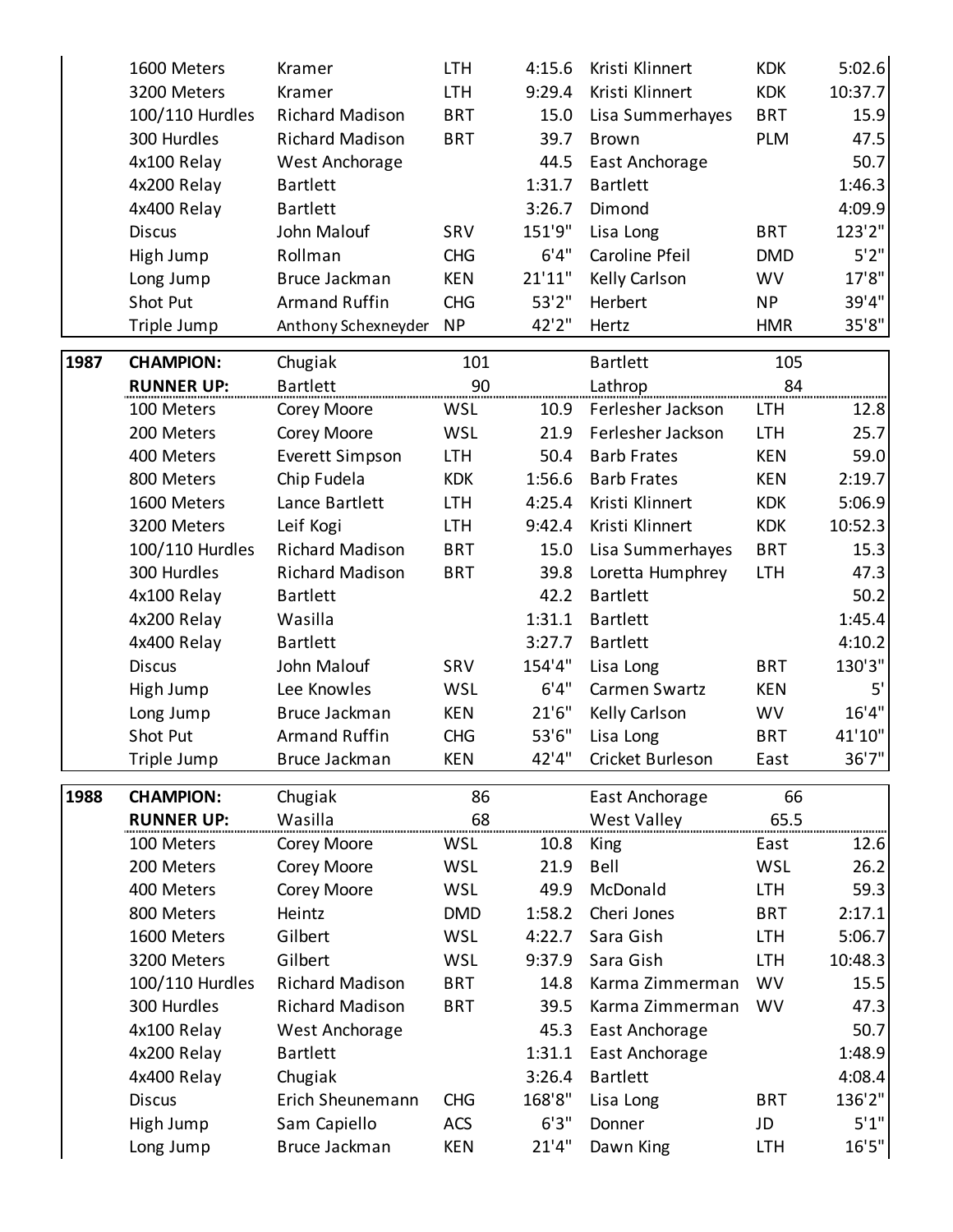|      | 1600 Meters       | Kramer                 | <b>LTH</b> | 4:15.6  | Kristi Klinnert    | <b>KDK</b> | 5:02.6  |
|------|-------------------|------------------------|------------|---------|--------------------|------------|---------|
|      | 3200 Meters       | Kramer                 | <b>LTH</b> | 9:29.4  | Kristi Klinnert    | <b>KDK</b> | 10:37.7 |
|      | 100/110 Hurdles   | <b>Richard Madison</b> | <b>BRT</b> | 15.0    | Lisa Summerhayes   | <b>BRT</b> | 15.9    |
|      | 300 Hurdles       | <b>Richard Madison</b> | <b>BRT</b> | 39.7    | <b>Brown</b>       | <b>PLM</b> | 47.5    |
|      | 4x100 Relay       | West Anchorage         |            | 44.5    | East Anchorage     |            | 50.7    |
|      | 4x200 Relay       | <b>Bartlett</b>        |            | 1:31.7  | <b>Bartlett</b>    |            | 1:46.3  |
|      | 4x400 Relay       | <b>Bartlett</b>        |            | 3:26.7  | Dimond             |            | 4:09.9  |
|      | <b>Discus</b>     | John Malouf            | SRV        | 151'9"  | Lisa Long          | <b>BRT</b> | 123'2"  |
|      | High Jump         | Rollman                | <b>CHG</b> | 6'4''   | Caroline Pfeil     | <b>DMD</b> | 5'2''   |
|      | Long Jump         | Bruce Jackman          | <b>KEN</b> | 21'11'' | Kelly Carlson      | <b>WV</b>  | 17'8"   |
|      | Shot Put          | <b>Armand Ruffin</b>   | <b>CHG</b> | 53'2"   | Herbert            | <b>NP</b>  | 39'4"   |
|      | Triple Jump       | Anthony Schexneyder    | <b>NP</b>  | 42'2"   | Hertz              | <b>HMR</b> | 35'8"   |
| 1987 | <b>CHAMPION:</b>  | Chugiak                | 101        |         | <b>Bartlett</b>    | 105        |         |
|      | <b>RUNNER UP:</b> | <b>Bartlett</b>        | 90         |         | Lathrop            | 84         |         |
|      | 100 Meters        | Corey Moore            | <b>WSL</b> | 10.9    | Ferlesher Jackson  | <b>LTH</b> | 12.8    |
|      | 200 Meters        | Corey Moore            | WSL        | 21.9    | Ferlesher Jackson  | <b>LTH</b> | 25.7    |
|      | 400 Meters        | Everett Simpson        | <b>LTH</b> | 50.4    | <b>Barb Frates</b> | <b>KEN</b> | 59.0    |
|      | 800 Meters        | Chip Fudela            | <b>KDK</b> | 1:56.6  | <b>Barb Frates</b> | <b>KEN</b> | 2:19.7  |
|      | 1600 Meters       | Lance Bartlett         | <b>LTH</b> | 4:25.4  | Kristi Klinnert    | <b>KDK</b> | 5:06.9  |
|      | 3200 Meters       | Leif Kogi              | <b>LTH</b> | 9:42.4  | Kristi Klinnert    | <b>KDK</b> | 10:52.3 |
|      | 100/110 Hurdles   | <b>Richard Madison</b> | <b>BRT</b> | 15.0    | Lisa Summerhayes   | <b>BRT</b> | 15.3    |
|      | 300 Hurdles       | <b>Richard Madison</b> | <b>BRT</b> | 39.8    | Loretta Humphrey   | <b>LTH</b> | 47.3    |
|      | 4x100 Relay       | <b>Bartlett</b>        |            | 42.2    | <b>Bartlett</b>    |            | 50.2    |
|      | 4x200 Relay       | Wasilla                |            | 1:31.1  | <b>Bartlett</b>    |            | 1:45.4  |
|      | 4x400 Relay       | <b>Bartlett</b>        |            | 3:27.7  | <b>Bartlett</b>    |            | 4:10.2  |
|      | <b>Discus</b>     | John Malouf            | SRV        | 154'4"  | Lisa Long          | <b>BRT</b> | 130'3"  |
|      | High Jump         | Lee Knowles            | WSL        | 6'4''   | Carmen Swartz      | <b>KEN</b> | 5'      |
|      | Long Jump         | Bruce Jackman          | <b>KEN</b> | 21'6''  | Kelly Carlson      | <b>WV</b>  | 16'4''  |
|      | Shot Put          | <b>Armand Ruffin</b>   | <b>CHG</b> | 53'6"   | Lisa Long          | <b>BRT</b> | 41'10"  |
|      | Triple Jump       | <b>Bruce Jackman</b>   | KEN        | 42'4"   | Cricket Burleson   | East       | 36'7"   |
| 1988 | <b>CHAMPION:</b>  | Chugiak                | 86         |         | East Anchorage     | 66         |         |
|      | <b>RUNNER UP:</b> | Wasilla                | 68         |         | <b>West Valley</b> | 65.5       |         |
|      | 100 Meters        | Corey Moore            | WSL        | 10.8    | King               | East       | 12.6    |
|      | 200 Meters        | Corey Moore            | WSL        | 21.9    | Bell               | <b>WSL</b> | 26.2    |
|      | 400 Meters        | Corey Moore            | <b>WSL</b> | 49.9    | McDonald           | <b>LTH</b> | 59.3    |
|      | 800 Meters        | Heintz                 | <b>DMD</b> | 1:58.2  | Cheri Jones        | <b>BRT</b> | 2:17.1  |
|      | 1600 Meters       | Gilbert                | <b>WSL</b> | 4:22.7  | Sara Gish          | <b>LTH</b> | 5:06.7  |
|      | 3200 Meters       | Gilbert                | WSL        | 9:37.9  | Sara Gish          | <b>LTH</b> | 10:48.3 |
|      | 100/110 Hurdles   | <b>Richard Madison</b> | <b>BRT</b> | 14.8    | Karma Zimmerman    | <b>WV</b>  | 15.5    |
|      | 300 Hurdles       | <b>Richard Madison</b> | <b>BRT</b> | 39.5    | Karma Zimmerman    | <b>WV</b>  | 47.3    |
|      | 4x100 Relay       | West Anchorage         |            | 45.3    | East Anchorage     |            | 50.7    |
|      | 4x200 Relay       | <b>Bartlett</b>        |            | 1:31.1  | East Anchorage     |            | 1:48.9  |
|      | 4x400 Relay       | Chugiak                |            | 3:26.4  | <b>Bartlett</b>    |            | 4:08.4  |
|      | <b>Discus</b>     | Erich Sheunemann       | <b>CHG</b> | 168'8"  | Lisa Long          | <b>BRT</b> | 136'2"  |
|      | High Jump         | Sam Capiello           | <b>ACS</b> | 6'3''   | Donner             | JD         | 5'1"    |
|      | Long Jump         | Bruce Jackman          | <b>KEN</b> | 21'4''  | Dawn King          | <b>LTH</b> | 16'5''  |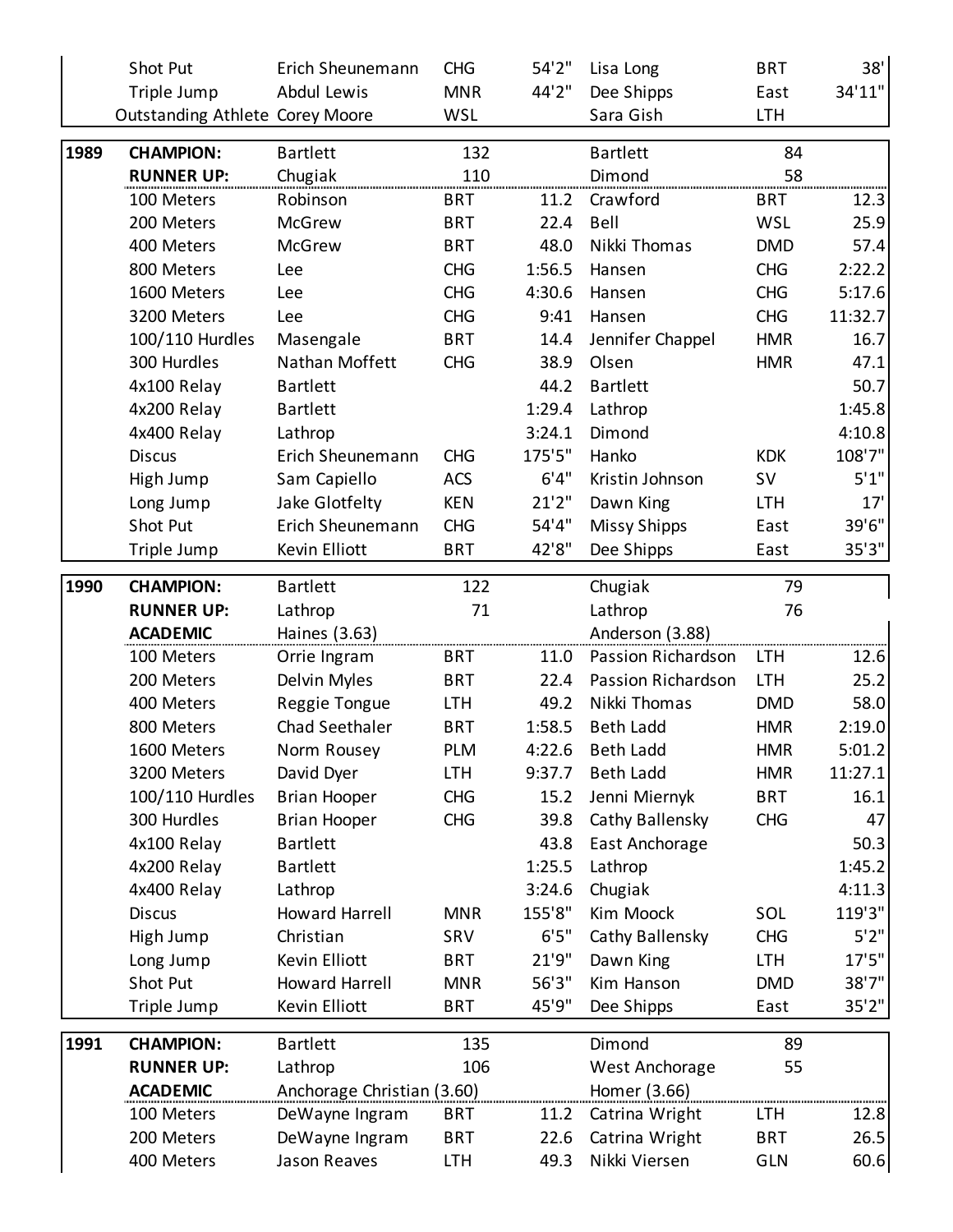| 34'11"<br>44'2"<br>Triple Jump<br>Dee Shipps<br>Abdul Lewis<br><b>MNR</b><br>East<br><b>WSL</b><br>Sara Gish<br><b>LTH</b><br><b>Outstanding Athlete Corey Moore</b><br>1989<br>132<br><b>Bartlett</b><br>84<br><b>CHAMPION:</b><br><b>Bartlett</b><br>110<br>58<br><b>RUNNER UP:</b><br>Dimond<br>Chugiak<br>Robinson<br><b>BRT</b><br>Crawford<br>100 Meters<br>11.2<br><b>BRT</b><br>12.3<br>25.9<br>200 Meters<br>McGrew<br><b>BRT</b><br>22.4<br>Bell<br><b>WSL</b><br><b>BRT</b><br>48.0<br>Nikki Thomas<br>57.4<br>400 Meters<br><b>McGrew</b><br><b>DMD</b><br>2:22.2<br>1:56.5<br>800 Meters<br><b>CHG</b><br><b>CHG</b><br>Hansen<br>Lee<br><b>CHG</b><br>4:30.6<br><b>CHG</b><br>5:17.6<br>1600 Meters<br>Lee<br>Hansen<br>11:32.7<br><b>CHG</b><br><b>CHG</b><br>3200 Meters<br>9:41<br>Hansen<br>Lee<br>100/110 Hurdles<br><b>BRT</b><br>Jennifer Chappel<br><b>HMR</b><br>16.7<br>Masengale<br>14.4<br>Nathan Moffett<br>38.9<br>Olsen<br>300 Hurdles<br><b>CHG</b><br><b>HMR</b><br>47.1<br>50.7<br>4x100 Relay<br><b>Bartlett</b><br><b>Bartlett</b><br>44.2<br>4x200 Relay<br>1:29.4<br>1:45.8<br><b>Bartlett</b><br>Lathrop<br>4:10.8<br>4x400 Relay<br>3:24.1<br>Dimond<br>Lathrop<br>108'7"<br>175'5"<br><b>KDK</b><br><b>Discus</b><br>Erich Sheunemann<br><b>CHG</b><br>Hanko |
|-----------------------------------------------------------------------------------------------------------------------------------------------------------------------------------------------------------------------------------------------------------------------------------------------------------------------------------------------------------------------------------------------------------------------------------------------------------------------------------------------------------------------------------------------------------------------------------------------------------------------------------------------------------------------------------------------------------------------------------------------------------------------------------------------------------------------------------------------------------------------------------------------------------------------------------------------------------------------------------------------------------------------------------------------------------------------------------------------------------------------------------------------------------------------------------------------------------------------------------------------------------------------------------------------------|
|                                                                                                                                                                                                                                                                                                                                                                                                                                                                                                                                                                                                                                                                                                                                                                                                                                                                                                                                                                                                                                                                                                                                                                                                                                                                                                     |
|                                                                                                                                                                                                                                                                                                                                                                                                                                                                                                                                                                                                                                                                                                                                                                                                                                                                                                                                                                                                                                                                                                                                                                                                                                                                                                     |
|                                                                                                                                                                                                                                                                                                                                                                                                                                                                                                                                                                                                                                                                                                                                                                                                                                                                                                                                                                                                                                                                                                                                                                                                                                                                                                     |
|                                                                                                                                                                                                                                                                                                                                                                                                                                                                                                                                                                                                                                                                                                                                                                                                                                                                                                                                                                                                                                                                                                                                                                                                                                                                                                     |
|                                                                                                                                                                                                                                                                                                                                                                                                                                                                                                                                                                                                                                                                                                                                                                                                                                                                                                                                                                                                                                                                                                                                                                                                                                                                                                     |
|                                                                                                                                                                                                                                                                                                                                                                                                                                                                                                                                                                                                                                                                                                                                                                                                                                                                                                                                                                                                                                                                                                                                                                                                                                                                                                     |
|                                                                                                                                                                                                                                                                                                                                                                                                                                                                                                                                                                                                                                                                                                                                                                                                                                                                                                                                                                                                                                                                                                                                                                                                                                                                                                     |
|                                                                                                                                                                                                                                                                                                                                                                                                                                                                                                                                                                                                                                                                                                                                                                                                                                                                                                                                                                                                                                                                                                                                                                                                                                                                                                     |
|                                                                                                                                                                                                                                                                                                                                                                                                                                                                                                                                                                                                                                                                                                                                                                                                                                                                                                                                                                                                                                                                                                                                                                                                                                                                                                     |
|                                                                                                                                                                                                                                                                                                                                                                                                                                                                                                                                                                                                                                                                                                                                                                                                                                                                                                                                                                                                                                                                                                                                                                                                                                                                                                     |
|                                                                                                                                                                                                                                                                                                                                                                                                                                                                                                                                                                                                                                                                                                                                                                                                                                                                                                                                                                                                                                                                                                                                                                                                                                                                                                     |
|                                                                                                                                                                                                                                                                                                                                                                                                                                                                                                                                                                                                                                                                                                                                                                                                                                                                                                                                                                                                                                                                                                                                                                                                                                                                                                     |
|                                                                                                                                                                                                                                                                                                                                                                                                                                                                                                                                                                                                                                                                                                                                                                                                                                                                                                                                                                                                                                                                                                                                                                                                                                                                                                     |
|                                                                                                                                                                                                                                                                                                                                                                                                                                                                                                                                                                                                                                                                                                                                                                                                                                                                                                                                                                                                                                                                                                                                                                                                                                                                                                     |
|                                                                                                                                                                                                                                                                                                                                                                                                                                                                                                                                                                                                                                                                                                                                                                                                                                                                                                                                                                                                                                                                                                                                                                                                                                                                                                     |
|                                                                                                                                                                                                                                                                                                                                                                                                                                                                                                                                                                                                                                                                                                                                                                                                                                                                                                                                                                                                                                                                                                                                                                                                                                                                                                     |
| 6'4''<br>5'1''<br><b>ACS</b><br><b>SV</b><br>High Jump<br>Sam Capiello<br>Kristin Johnson                                                                                                                                                                                                                                                                                                                                                                                                                                                                                                                                                                                                                                                                                                                                                                                                                                                                                                                                                                                                                                                                                                                                                                                                           |
| 21'2''<br>17'<br>Jake Glotfelty<br><b>KEN</b><br>Long Jump<br>Dawn King<br><b>LTH</b>                                                                                                                                                                                                                                                                                                                                                                                                                                                                                                                                                                                                                                                                                                                                                                                                                                                                                                                                                                                                                                                                                                                                                                                                               |
| 39'6"<br>54'4"<br>Shot Put<br>Erich Sheunemann<br><b>CHG</b><br><b>Missy Shipps</b><br>East                                                                                                                                                                                                                                                                                                                                                                                                                                                                                                                                                                                                                                                                                                                                                                                                                                                                                                                                                                                                                                                                                                                                                                                                         |
| 42'8"<br>35'3''<br>Kevin Elliott<br>Triple Jump<br><b>BRT</b><br>Dee Shipps<br>East                                                                                                                                                                                                                                                                                                                                                                                                                                                                                                                                                                                                                                                                                                                                                                                                                                                                                                                                                                                                                                                                                                                                                                                                                 |
| 1990<br>122<br>79<br><b>CHAMPION:</b><br><b>Bartlett</b><br>Chugiak                                                                                                                                                                                                                                                                                                                                                                                                                                                                                                                                                                                                                                                                                                                                                                                                                                                                                                                                                                                                                                                                                                                                                                                                                                 |
| 71<br>76<br><b>RUNNER UP:</b><br>Lathrop<br>Lathrop                                                                                                                                                                                                                                                                                                                                                                                                                                                                                                                                                                                                                                                                                                                                                                                                                                                                                                                                                                                                                                                                                                                                                                                                                                                 |
| Anderson (3.88)<br><b>ACADEMIC</b><br>Haines (3.63)                                                                                                                                                                                                                                                                                                                                                                                                                                                                                                                                                                                                                                                                                                                                                                                                                                                                                                                                                                                                                                                                                                                                                                                                                                                 |
| <b>BRT</b><br>Passion Richardson<br><b>LTH</b><br>12.6<br>100 Meters<br>Orrie Ingram<br>11.0                                                                                                                                                                                                                                                                                                                                                                                                                                                                                                                                                                                                                                                                                                                                                                                                                                                                                                                                                                                                                                                                                                                                                                                                        |
| 22.4<br>Passion Richardson<br>25.2<br>Delvin Myles<br><b>BRT</b><br><b>LTH</b><br>200 Meters                                                                                                                                                                                                                                                                                                                                                                                                                                                                                                                                                                                                                                                                                                                                                                                                                                                                                                                                                                                                                                                                                                                                                                                                        |
| 49.2<br>Nikki Thomas<br>58.0<br>400 Meters<br>Reggie Tongue<br><b>LTH</b><br><b>DMD</b>                                                                                                                                                                                                                                                                                                                                                                                                                                                                                                                                                                                                                                                                                                                                                                                                                                                                                                                                                                                                                                                                                                                                                                                                             |
| 2:19.0<br>Chad Seethaler<br><b>BRT</b><br>1:58.5<br><b>Beth Ladd</b><br>800 Meters<br><b>HMR</b>                                                                                                                                                                                                                                                                                                                                                                                                                                                                                                                                                                                                                                                                                                                                                                                                                                                                                                                                                                                                                                                                                                                                                                                                    |
| 5:01.2<br>1600 Meters<br>Norm Rousey<br><b>PLM</b><br>4:22.6<br>Beth Ladd<br><b>HMR</b>                                                                                                                                                                                                                                                                                                                                                                                                                                                                                                                                                                                                                                                                                                                                                                                                                                                                                                                                                                                                                                                                                                                                                                                                             |
| 11:27.1<br>3200 Meters<br>David Dyer<br><b>LTH</b><br>9:37.7<br><b>Beth Ladd</b><br><b>HMR</b>                                                                                                                                                                                                                                                                                                                                                                                                                                                                                                                                                                                                                                                                                                                                                                                                                                                                                                                                                                                                                                                                                                                                                                                                      |
| 100/110 Hurdles<br><b>BRT</b><br><b>Brian Hooper</b><br><b>CHG</b><br>Jenni Miernyk<br>16.1<br>15.2                                                                                                                                                                                                                                                                                                                                                                                                                                                                                                                                                                                                                                                                                                                                                                                                                                                                                                                                                                                                                                                                                                                                                                                                 |
| Cathy Ballensky<br>300 Hurdles<br><b>Brian Hooper</b><br><b>CHG</b><br>39.8<br><b>CHG</b><br>47                                                                                                                                                                                                                                                                                                                                                                                                                                                                                                                                                                                                                                                                                                                                                                                                                                                                                                                                                                                                                                                                                                                                                                                                     |
| 4x100 Relay<br><b>Bartlett</b><br>43.8<br>East Anchorage<br>50.3                                                                                                                                                                                                                                                                                                                                                                                                                                                                                                                                                                                                                                                                                                                                                                                                                                                                                                                                                                                                                                                                                                                                                                                                                                    |
| 1:45.2<br>4x200 Relay<br><b>Bartlett</b><br>1:25.5<br>Lathrop                                                                                                                                                                                                                                                                                                                                                                                                                                                                                                                                                                                                                                                                                                                                                                                                                                                                                                                                                                                                                                                                                                                                                                                                                                       |
| 4:11.3<br>4x400 Relay<br>Lathrop<br>3:24.6<br>Chugiak                                                                                                                                                                                                                                                                                                                                                                                                                                                                                                                                                                                                                                                                                                                                                                                                                                                                                                                                                                                                                                                                                                                                                                                                                                               |
| 155'8"<br>SOL<br>119'3"<br><b>Discus</b><br>Howard Harrell<br><b>MNR</b><br>Kim Moock                                                                                                                                                                                                                                                                                                                                                                                                                                                                                                                                                                                                                                                                                                                                                                                                                                                                                                                                                                                                                                                                                                                                                                                                               |
| 5'2''<br>6'5''<br>Cathy Ballensky<br>High Jump<br>Christian<br>SRV<br><b>CHG</b>                                                                                                                                                                                                                                                                                                                                                                                                                                                                                                                                                                                                                                                                                                                                                                                                                                                                                                                                                                                                                                                                                                                                                                                                                    |
| 17'5''<br>21'9"<br>Long Jump<br>Kevin Elliott<br><b>BRT</b><br>Dawn King<br><b>LTH</b>                                                                                                                                                                                                                                                                                                                                                                                                                                                                                                                                                                                                                                                                                                                                                                                                                                                                                                                                                                                                                                                                                                                                                                                                              |
| 38'7"<br>Shot Put<br><b>Howard Harrell</b><br>56'3"<br><b>MNR</b><br>Kim Hanson<br><b>DMD</b>                                                                                                                                                                                                                                                                                                                                                                                                                                                                                                                                                                                                                                                                                                                                                                                                                                                                                                                                                                                                                                                                                                                                                                                                       |
| 35'2''<br>Kevin Elliott<br>45'9"<br><b>BRT</b><br>Dee Shipps<br>Triple Jump<br>East                                                                                                                                                                                                                                                                                                                                                                                                                                                                                                                                                                                                                                                                                                                                                                                                                                                                                                                                                                                                                                                                                                                                                                                                                 |
| 1991<br><b>CHAMPION:</b><br><b>Bartlett</b><br>135<br>Dimond<br>89                                                                                                                                                                                                                                                                                                                                                                                                                                                                                                                                                                                                                                                                                                                                                                                                                                                                                                                                                                                                                                                                                                                                                                                                                                  |
| 106<br><b>RUNNER UP:</b><br>Lathrop<br>West Anchorage<br>55                                                                                                                                                                                                                                                                                                                                                                                                                                                                                                                                                                                                                                                                                                                                                                                                                                                                                                                                                                                                                                                                                                                                                                                                                                         |
| Anchorage Christian (3.60)<br>Homer (3.66)<br><b>ACADEMIC</b>                                                                                                                                                                                                                                                                                                                                                                                                                                                                                                                                                                                                                                                                                                                                                                                                                                                                                                                                                                                                                                                                                                                                                                                                                                       |
| 100 Meters<br>DeWayne Ingram<br><b>BRT</b><br>11.2<br>Catrina Wright<br>LTH<br>12.8                                                                                                                                                                                                                                                                                                                                                                                                                                                                                                                                                                                                                                                                                                                                                                                                                                                                                                                                                                                                                                                                                                                                                                                                                 |
| 26.5<br>200 Meters<br>DeWayne Ingram<br>22.6<br>Catrina Wright<br><b>BRT</b><br><b>BRT</b>                                                                                                                                                                                                                                                                                                                                                                                                                                                                                                                                                                                                                                                                                                                                                                                                                                                                                                                                                                                                                                                                                                                                                                                                          |
| Nikki Viersen<br>400 Meters<br>Jason Reaves<br><b>LTH</b><br>49.3<br>GLN<br>60.6                                                                                                                                                                                                                                                                                                                                                                                                                                                                                                                                                                                                                                                                                                                                                                                                                                                                                                                                                                                                                                                                                                                                                                                                                    |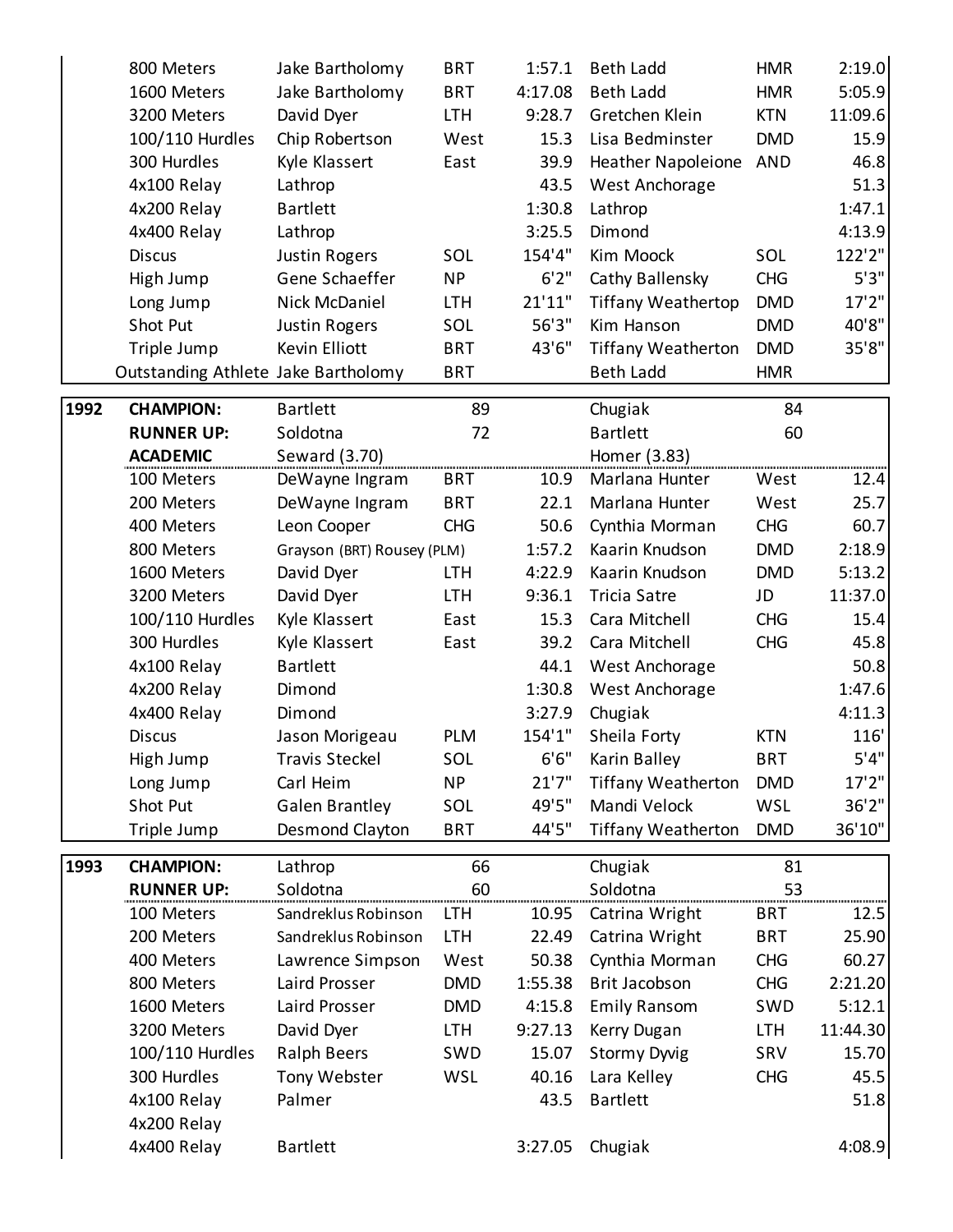|      | 800 Meters                          | Jake Bartholomy            | <b>BRT</b> | 1:57.1  | <b>Beth Ladd</b>          | <b>HMR</b> | 2:19.0   |
|------|-------------------------------------|----------------------------|------------|---------|---------------------------|------------|----------|
|      | 1600 Meters                         | Jake Bartholomy            | <b>BRT</b> | 4:17.08 | <b>Beth Ladd</b>          | <b>HMR</b> | 5:05.9   |
|      | 3200 Meters                         | David Dyer                 | <b>LTH</b> | 9:28.7  | Gretchen Klein            | <b>KTN</b> | 11:09.6  |
|      | 100/110 Hurdles                     | Chip Robertson             | West       | 15.3    | Lisa Bedminster           | <b>DMD</b> | 15.9     |
|      | 300 Hurdles                         | Kyle Klassert              | East       | 39.9    | <b>Heather Napoleione</b> | AND        | 46.8     |
|      | 4x100 Relay                         | Lathrop                    |            | 43.5    | West Anchorage            |            | 51.3     |
|      | 4x200 Relay                         | <b>Bartlett</b>            |            | 1:30.8  | Lathrop                   |            | 1:47.1   |
|      | 4x400 Relay                         | Lathrop                    |            | 3:25.5  | Dimond                    |            | 4:13.9   |
|      | <b>Discus</b>                       | <b>Justin Rogers</b>       | SOL        | 154'4"  | Kim Moock                 | SOL        | 122'2"   |
|      | High Jump                           | Gene Schaeffer             | <b>NP</b>  | 6'2''   | Cathy Ballensky           | <b>CHG</b> | 5'3''    |
|      | Long Jump                           | Nick McDaniel              | <b>LTH</b> | 21'11"  | <b>Tiffany Weathertop</b> | <b>DMD</b> | 17'2"    |
|      | Shot Put                            | <b>Justin Rogers</b>       | SOL        | 56'3"   | Kim Hanson                | <b>DMD</b> | 40'8"    |
|      | Triple Jump                         | Kevin Elliott              | <b>BRT</b> | 43'6"   | <b>Tiffany Weatherton</b> | <b>DMD</b> | 35'8"    |
|      | Outstanding Athlete Jake Bartholomy |                            | <b>BRT</b> |         | <b>Beth Ladd</b>          | <b>HMR</b> |          |
|      |                                     |                            |            |         |                           |            |          |
| 1992 | <b>CHAMPION:</b>                    | <b>Bartlett</b>            | 89         |         | Chugiak                   | 84         |          |
|      | <b>RUNNER UP:</b>                   | Soldotna                   | 72         |         | <b>Bartlett</b>           | 60         |          |
|      | <b>ACADEMIC</b>                     | Seward (3.70)              |            |         | Homer (3.83)              |            |          |
|      | 100 Meters                          | DeWayne Ingram             | <b>BRT</b> | 10.9    | Marlana Hunter            | West       | 12.4     |
|      | 200 Meters                          | DeWayne Ingram             | <b>BRT</b> | 22.1    | Marlana Hunter            | West       | 25.7     |
|      | 400 Meters                          | Leon Cooper                | <b>CHG</b> | 50.6    | Cynthia Morman            | <b>CHG</b> | 60.7     |
|      | 800 Meters                          | Grayson (BRT) Rousey (PLM) |            | 1:57.2  | Kaarin Knudson            | <b>DMD</b> | 2:18.9   |
|      | 1600 Meters                         | David Dyer                 | <b>LTH</b> | 4:22.9  | Kaarin Knudson            | <b>DMD</b> | 5:13.2   |
|      | 3200 Meters                         | David Dyer                 | <b>LTH</b> | 9:36.1  | <b>Tricia Satre</b>       | JD         | 11:37.0  |
|      | 100/110 Hurdles                     | Kyle Klassert              | East       | 15.3    | Cara Mitchell             | <b>CHG</b> | 15.4     |
|      | 300 Hurdles                         | Kyle Klassert              | East       | 39.2    | Cara Mitchell             | <b>CHG</b> | 45.8     |
|      | 4x100 Relay                         | <b>Bartlett</b>            |            | 44.1    | West Anchorage            |            | 50.8     |
|      | 4x200 Relay                         | Dimond                     |            | 1:30.8  | West Anchorage            |            | 1:47.6   |
|      | 4x400 Relay                         | Dimond                     |            | 3:27.9  | Chugiak                   |            | 4:11.3   |
|      | <b>Discus</b>                       | Jason Morigeau             | PLM        | 154'1"  | Sheila Forty              | <b>KTN</b> | 116'     |
|      | High Jump                           | <b>Travis Steckel</b>      | SOL        | 6'6''   | Karin Balley              | <b>BRT</b> | 5'4"     |
|      | Long Jump                           | Carl Heim                  | <b>NP</b>  | 21'7''  | <b>Tiffany Weatherton</b> | <b>DMD</b> | 17'2''   |
|      | Shot Put                            | <b>Galen Brantley</b>      | SOL        | 49'5"   | Mandi Velock              | <b>WSL</b> | 36'2''   |
|      | Triple Jump                         | Desmond Clayton            | <b>BRT</b> | 44'5"   | <b>Tiffany Weatherton</b> | <b>DMD</b> | 36'10"   |
| 1993 | <b>CHAMPION:</b>                    | Lathrop                    | 66         |         | Chugiak                   | 81         |          |
|      | <b>RUNNER UP:</b>                   | Soldotna                   | 60         |         | Soldotna                  | 53         |          |
|      | 100 Meters                          | Sandreklus Robinson        | <b>LTH</b> | 10.95   | Catrina Wright            | <b>BRT</b> | 12.5     |
|      | 200 Meters                          | Sandreklus Robinson        | <b>LTH</b> | 22.49   | Catrina Wright            | <b>BRT</b> | 25.90    |
|      | 400 Meters                          | Lawrence Simpson           | West       | 50.38   | Cynthia Morman            | <b>CHG</b> | 60.27    |
|      | 800 Meters                          | Laird Prosser              | <b>DMD</b> | 1:55.38 | <b>Brit Jacobson</b>      | <b>CHG</b> | 2:21.20  |
|      | 1600 Meters                         | Laird Prosser              | <b>DMD</b> | 4:15.8  | <b>Emily Ransom</b>       | SWD        | 5:12.1   |
|      | 3200 Meters                         | David Dyer                 | LTH        | 9:27.13 | Kerry Dugan               | <b>LTH</b> | 11:44.30 |
|      | 100/110 Hurdles                     | <b>Ralph Beers</b>         | SWD        | 15.07   | <b>Stormy Dyvig</b>       | SRV        | 15.70    |
|      | 300 Hurdles                         | Tony Webster               | WSL        | 40.16   | Lara Kelley               | <b>CHG</b> | 45.5     |
|      | 4x100 Relay                         | Palmer                     |            | 43.5    | <b>Bartlett</b>           |            | 51.8     |
|      | 4x200 Relay                         |                            |            |         |                           |            |          |
|      | 4x400 Relay                         | <b>Bartlett</b>            |            | 3:27.05 | Chugiak                   |            | 4:08.9   |
|      |                                     |                            |            |         |                           |            |          |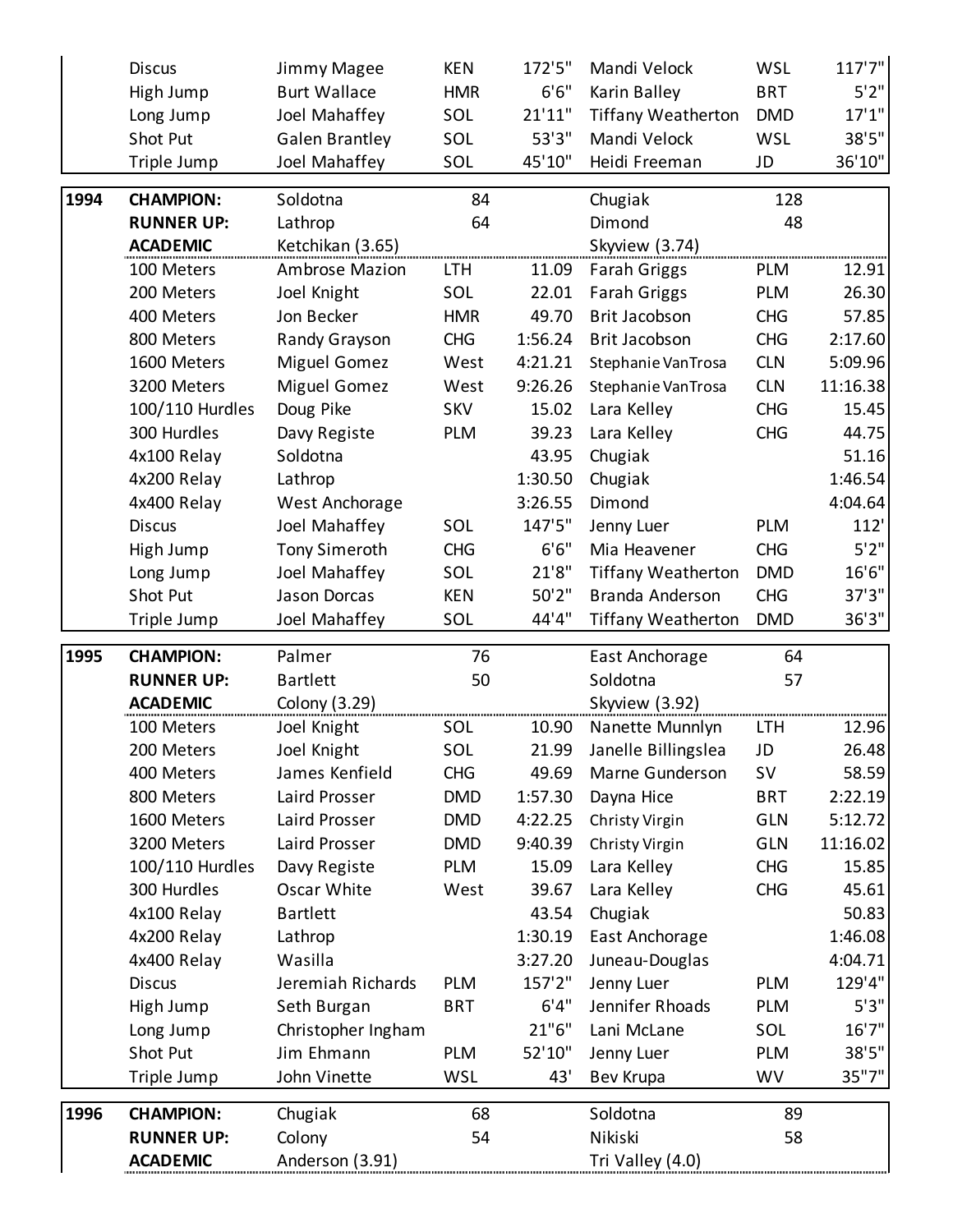|      | <b>Discus</b>              | Jimmy Magee           | <b>KEN</b> | 172'5"  | Mandi Velock                     | <b>WSL</b> | 117'7''  |
|------|----------------------------|-----------------------|------------|---------|----------------------------------|------------|----------|
|      | High Jump                  | <b>Burt Wallace</b>   | <b>HMR</b> | 6'6''   | Karin Balley                     | <b>BRT</b> | 5'2''    |
|      | Long Jump                  | Joel Mahaffey         | SOL        | 21'11"  | <b>Tiffany Weatherton</b>        | <b>DMD</b> | 17'1''   |
|      | Shot Put                   | <b>Galen Brantley</b> | SOL        | 53'3"   | Mandi Velock                     | <b>WSL</b> | 38'5"    |
|      | Triple Jump                | Joel Mahaffey         | SOL        | 45'10"  | Heidi Freeman                    | JD         | 36'10"   |
| 1994 | <b>CHAMPION:</b>           | Soldotna              | 84         |         | Chugiak                          | 128        |          |
|      | <b>RUNNER UP:</b>          | Lathrop               | 64         |         | Dimond                           | 48         |          |
|      | <b>ACADEMIC</b>            | Ketchikan (3.65)      |            |         | Skyview (3.74)                   |            |          |
|      | 100 Meters                 | <b>Ambrose Mazion</b> | <b>LTH</b> | 11.09   | <b>Farah Griggs</b>              | <b>PLM</b> | 12.91    |
|      | 200 Meters                 | Joel Knight           | SOL        | 22.01   | <b>Farah Griggs</b>              | <b>PLM</b> | 26.30    |
|      | 400 Meters                 | Jon Becker            | <b>HMR</b> | 49.70   | Brit Jacobson                    | <b>CHG</b> | 57.85    |
|      | 800 Meters                 | Randy Grayson         | <b>CHG</b> | 1:56.24 | <b>Brit Jacobson</b>             | <b>CHG</b> | 2:17.60  |
|      | 1600 Meters                | Miguel Gomez          | West       | 4:21.21 | Stephanie VanTrosa               | <b>CLN</b> | 5:09.96  |
|      | 3200 Meters                | Miguel Gomez          | West       | 9:26.26 | Stephanie VanTrosa               | <b>CLN</b> | 11:16.38 |
|      | 100/110 Hurdles            | Doug Pike             | <b>SKV</b> | 15.02   | Lara Kelley                      | <b>CHG</b> | 15.45    |
|      | 300 Hurdles                | Davy Registe          | <b>PLM</b> | 39.23   | Lara Kelley                      | <b>CHG</b> | 44.75    |
|      | 4x100 Relay                | Soldotna              |            | 43.95   | Chugiak                          |            | 51.16    |
|      | 4x200 Relay                | Lathrop               |            | 1:30.50 | Chugiak                          |            | 1:46.54  |
|      | 4x400 Relay                | West Anchorage        |            | 3:26.55 | Dimond                           |            | 4:04.64  |
|      | <b>Discus</b>              | Joel Mahaffey         | SOL        | 147'5"  | Jenny Luer                       | <b>PLM</b> | 112'     |
|      | High Jump                  | <b>Tony Simeroth</b>  | <b>CHG</b> | 6'6''   | Mia Heavener                     | <b>CHG</b> | 5'2''    |
|      | Long Jump                  | Joel Mahaffey         | SOL        | 21'8''  | <b>Tiffany Weatherton</b>        | <b>DMD</b> | 16'6"    |
|      | Shot Put                   | Jason Dorcas          | <b>KEN</b> | 50'2"   | Branda Anderson                  | <b>CHG</b> | 37'3"    |
|      | Triple Jump                | Joel Mahaffey         | SOL        | 44'4"   | <b>Tiffany Weatherton</b>        | <b>DMD</b> | 36'3''   |
| 1995 | <b>CHAMPION:</b>           | Palmer                | 76         |         | East Anchorage                   | 64         |          |
|      | <b>RUNNER UP:</b>          | <b>Bartlett</b>       | 50         |         | Soldotna                         | 57         |          |
|      | <b>ACADEMIC</b>            | Colony (3.29)         |            |         | Skyview (3.92)                   |            |          |
|      | 100 Meters                 | Joel Knight           | SOL        | 10.90   | Nanette Munnlyn                  | <b>LTH</b> | 12.96    |
|      | 200 Meters                 | Joel Knight           | SOL        | 21.99   | Janelle Billingslea              | JD         | 26.48    |
|      | 400 Meters                 | James Kenfield        | <b>CHG</b> | 49.69   | Marne Gunderson                  | <b>SV</b>  | 58.59    |
|      | 800 Meters                 | Laird Prosser         | <b>DMD</b> | 1:57.30 | Dayna Hice                       | <b>BRT</b> | 2:22.19  |
|      | 1600 Meters                | Laird Prosser         | <b>DMD</b> | 4:22.25 | Christy Virgin                   | <b>GLN</b> | 5:12.72  |
|      | 3200 Meters                | Laird Prosser         | <b>DMD</b> | 9:40.39 | Christy Virgin                   | <b>GLN</b> | 11:16.02 |
|      | 100/110 Hurdles            | Davy Registe          | PLM        |         | Lara Kelley                      | <b>CHG</b> | 15.85    |
|      |                            |                       |            | 15.09   |                                  |            |          |
|      | 300 Hurdles                | Oscar White           | West       | 39.67   | Lara Kelley                      | <b>CHG</b> | 45.61    |
|      |                            | <b>Bartlett</b>       |            | 43.54   |                                  |            | 50.83    |
|      | 4x100 Relay<br>4x200 Relay |                       |            | 1:30.19 | Chugiak                          |            | 1:46.08  |
|      | 4x400 Relay                | Lathrop<br>Wasilla    |            | 3:27.20 | East Anchorage<br>Juneau-Douglas |            | 4:04.71  |
|      | <b>Discus</b>              | Jeremiah Richards     | <b>PLM</b> | 157'2"  | Jenny Luer                       | <b>PLM</b> | 129'4"   |
|      | High Jump                  | Seth Burgan           | <b>BRT</b> | 6'4''   | Jennifer Rhoads                  | <b>PLM</b> | 5'3''    |
|      | Long Jump                  | Christopher Ingham    |            | 21"6"   | Lani McLane                      | SOL        | 16'7''   |
|      | Shot Put                   | Jim Ehmann            | PLM        | 52'10"  | Jenny Luer                       | <b>PLM</b> | 38'5"    |
|      | Triple Jump                | John Vinette          | WSL        | 43'     | Bev Krupa                        | WV         | 35"7"    |
| 1996 | <b>CHAMPION:</b>           | Chugiak               | 68         |         | Soldotna                         | 89         |          |
|      | <b>RUNNER UP:</b>          | Colony                | 54         |         | Nikiski                          | 58         |          |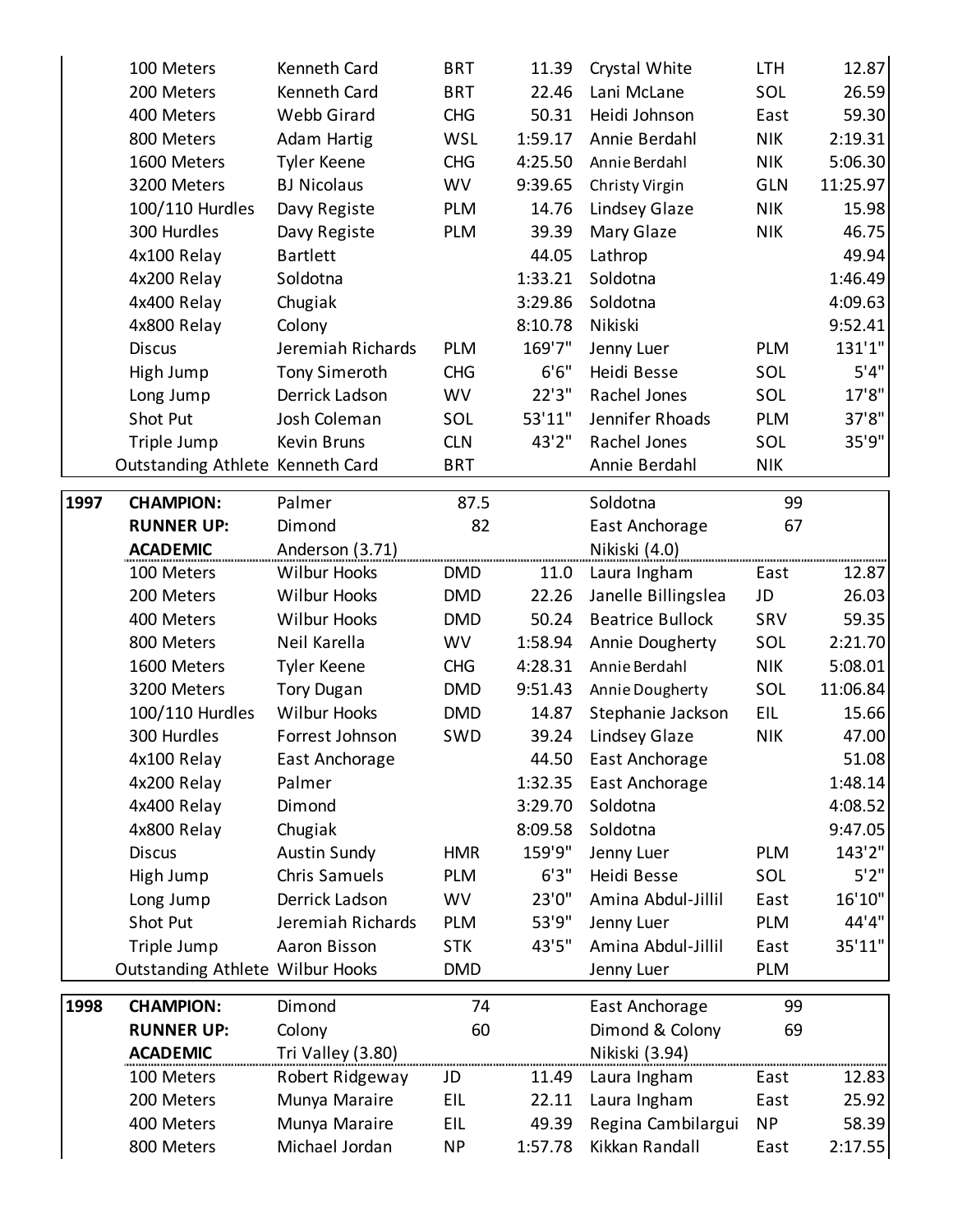|      | 100 Meters                       | Kenneth Card        | <b>BRT</b> | 11.39   | Crystal White           | <b>LTH</b> | 12.87    |
|------|----------------------------------|---------------------|------------|---------|-------------------------|------------|----------|
|      | 200 Meters                       | Kenneth Card        | <b>BRT</b> | 22.46   | Lani McLane             | SOL        | 26.59    |
|      | 400 Meters                       | Webb Girard         | <b>CHG</b> | 50.31   | Heidi Johnson           | East       | 59.30    |
|      | 800 Meters                       | Adam Hartig         | <b>WSL</b> | 1:59.17 | Annie Berdahl           | <b>NIK</b> | 2:19.31  |
|      | 1600 Meters                      | Tyler Keene         | <b>CHG</b> | 4:25.50 | Annie Berdahl           | <b>NIK</b> | 5:06.30  |
|      | 3200 Meters                      | <b>BJ Nicolaus</b>  | <b>WV</b>  | 9:39.65 | Christy Virgin          | <b>GLN</b> | 11:25.97 |
|      | 100/110 Hurdles                  | Davy Registe        | <b>PLM</b> | 14.76   | Lindsey Glaze           | <b>NIK</b> | 15.98    |
|      | 300 Hurdles                      | Davy Registe        | <b>PLM</b> | 39.39   | Mary Glaze              | <b>NIK</b> | 46.75    |
|      | 4x100 Relay                      | <b>Bartlett</b>     |            | 44.05   | Lathrop                 |            | 49.94    |
|      | 4x200 Relay                      | Soldotna            |            | 1:33.21 | Soldotna                |            | 1:46.49  |
|      | 4x400 Relay                      | Chugiak             |            | 3:29.86 | Soldotna                |            | 4:09.63  |
|      | 4x800 Relay                      | Colony              |            | 8:10.78 | Nikiski                 |            | 9:52.41  |
|      | <b>Discus</b>                    | Jeremiah Richards   | <b>PLM</b> | 169'7"  | Jenny Luer              | <b>PLM</b> | 131'1"   |
|      | High Jump                        | Tony Simeroth       | <b>CHG</b> | 6'6''   | Heidi Besse             | SOL        | 5'4"     |
|      | Long Jump                        | Derrick Ladson      | <b>WV</b>  | 22'3''  | Rachel Jones            | SOL        | 17'8"    |
|      | Shot Put                         | Josh Coleman        | SOL        | 53'11"  | Jennifer Rhoads         | <b>PLM</b> | 37'8"    |
|      | Triple Jump                      | Kevin Bruns         | <b>CLN</b> | 43'2"   | Rachel Jones            | SOL        | 35'9"    |
|      | Outstanding Athlete Kenneth Card |                     | <b>BRT</b> |         | Annie Berdahl           | <b>NIK</b> |          |
|      |                                  |                     |            |         |                         |            |          |
| 1997 | <b>CHAMPION:</b>                 | Palmer              | 87.5       |         | Soldotna                | 99         |          |
|      | <b>RUNNER UP:</b>                | Dimond              | 82         |         | East Anchorage          | 67         |          |
|      | <b>ACADEMIC</b>                  | Anderson (3.71)     |            |         | Nikiski (4.0)           |            |          |
|      | 100 Meters                       | <b>Wilbur Hooks</b> | <b>DMD</b> | 11.0    | Laura Ingham            | East       | 12.87    |
|      | 200 Meters                       | <b>Wilbur Hooks</b> | <b>DMD</b> | 22.26   | Janelle Billingslea     | JD         | 26.03    |
|      | 400 Meters                       | <b>Wilbur Hooks</b> | <b>DMD</b> | 50.24   | <b>Beatrice Bullock</b> | SRV        | 59.35    |
|      | 800 Meters                       | Neil Karella        | <b>WV</b>  | 1:58.94 | Annie Dougherty         | SOL        | 2:21.70  |
|      | 1600 Meters                      | Tyler Keene         | <b>CHG</b> | 4:28.31 | Annie Berdahl           | <b>NIK</b> | 5:08.01  |
|      | 3200 Meters                      | <b>Tory Dugan</b>   | <b>DMD</b> | 9:51.43 | Annie Dougherty         | SOL        | 11:06.84 |
|      | 100/110 Hurdles                  | <b>Wilbur Hooks</b> | <b>DMD</b> | 14.87   | Stephanie Jackson       | EIL        | 15.66    |
|      | 300 Hurdles                      | Forrest Johnson     | SWD        | 39.24   | Lindsey Glaze           | <b>NIK</b> | 47.00    |
|      | 4x100 Relay                      | East Anchorage      |            | 44.50   | East Anchorage          |            | 51.08    |
|      | 4x200 Relay                      | Palmer              |            | 1:32.35 | East Anchorage          |            | 1:48.14  |
|      | 4x400 Relay                      | Dimond              |            | 3:29.70 | Soldotna                |            | 4:08.52  |
|      | 4x800 Relay                      | Chugiak             |            | 8:09.58 | Soldotna                |            | 9:47.05  |
|      | <b>Discus</b>                    | <b>Austin Sundy</b> | <b>HMR</b> | 159'9"  | Jenny Luer              | <b>PLM</b> | 143'2"   |
|      | High Jump                        | Chris Samuels       | <b>PLM</b> | 6'3''   | Heidi Besse             | SOL        | 5'2''    |
|      | Long Jump                        | Derrick Ladson      | <b>WV</b>  | 23'0"   | Amina Abdul-Jillil      | East       | 16'10"   |
|      | Shot Put                         | Jeremiah Richards   | <b>PLM</b> | 53'9"   | Jenny Luer              | PLM        | 44'4"    |
|      | Triple Jump                      | Aaron Bisson        | <b>STK</b> | 43'5"   | Amina Abdul-Jillil      | East       | 35'11"   |
|      | Outstanding Athlete Wilbur Hooks |                     | <b>DMD</b> |         | Jenny Luer              | <b>PLM</b> |          |
| 1998 | <b>CHAMPION:</b>                 | Dimond              | 74         |         | East Anchorage          | 99         |          |
|      | <b>RUNNER UP:</b>                | Colony              | 60         |         | Dimond & Colony         | 69         |          |
|      | <b>ACADEMIC</b>                  | Tri Valley (3.80)   |            |         | Nikiski (3.94)          |            |          |
|      | 100 Meters                       | Robert Ridgeway     | JD         | 11.49   | Laura Ingham            | East       | 12.83    |
|      | 200 Meters                       | Munya Maraire       | EIL        | 22.11   | Laura Ingham            | East       | 25.92    |
|      | 400 Meters                       | Munya Maraire       | EIL        | 49.39   | Regina Cambilargui      | <b>NP</b>  | 58.39    |
|      | 800 Meters                       | Michael Jordan      | <b>NP</b>  | 1:57.78 | Kikkan Randall          | East       | 2:17.55  |
|      |                                  |                     |            |         |                         |            |          |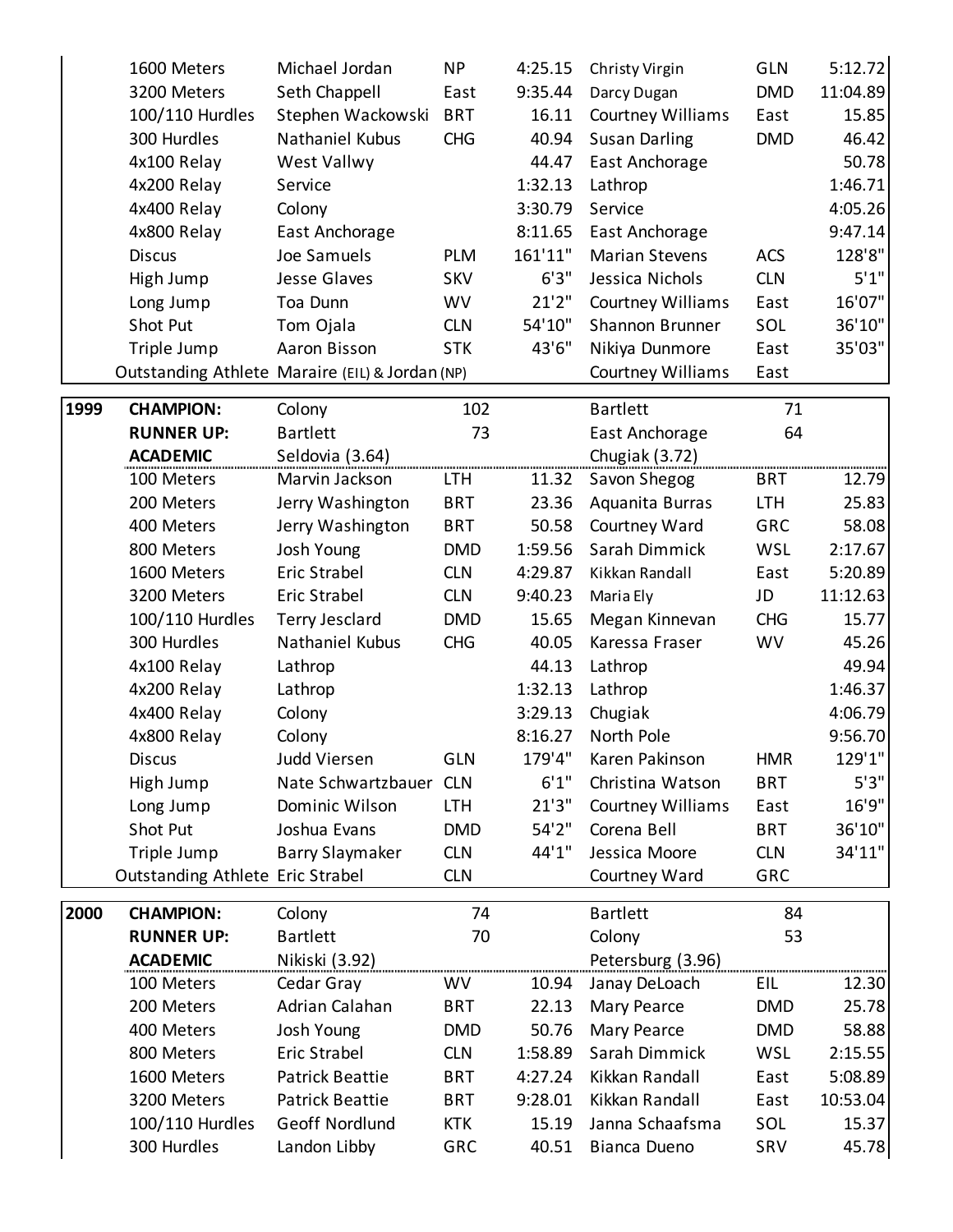|      | 1600 Meters                      | Michael Jordan                                  | <b>NP</b>  | 4:25.15 | Christy Virgin           | <b>GLN</b> | 5:12.72  |
|------|----------------------------------|-------------------------------------------------|------------|---------|--------------------------|------------|----------|
|      | 3200 Meters                      | Seth Chappell                                   | East       | 9:35.44 | Darcy Dugan              | <b>DMD</b> | 11:04.89 |
|      | 100/110 Hurdles                  | Stephen Wackowski                               | <b>BRT</b> | 16.11   | <b>Courtney Williams</b> | East       | 15.85    |
|      | 300 Hurdles                      | Nathaniel Kubus                                 | <b>CHG</b> | 40.94   | <b>Susan Darling</b>     | <b>DMD</b> | 46.42    |
|      | 4x100 Relay                      | West Vallwy                                     |            | 44.47   | East Anchorage           |            | 50.78    |
|      | 4x200 Relay                      | Service                                         |            | 1:32.13 | Lathrop                  |            | 1:46.71  |
|      | 4x400 Relay                      | Colony                                          |            | 3:30.79 | Service                  |            | 4:05.26  |
|      | 4x800 Relay                      | East Anchorage                                  |            | 8:11.65 | East Anchorage           |            | 9:47.14  |
|      | <b>Discus</b>                    | Joe Samuels                                     | <b>PLM</b> | 161'11" | <b>Marian Stevens</b>    | <b>ACS</b> | 128'8"   |
|      | High Jump                        | <b>Jesse Glaves</b>                             | <b>SKV</b> | 6'3''   | Jessica Nichols          | <b>CLN</b> | 5'1"     |
|      | Long Jump                        | Toa Dunn                                        | <b>WV</b>  | 21'2''  | <b>Courtney Williams</b> | East       | 16'07"   |
|      | Shot Put                         | Tom Ojala                                       | <b>CLN</b> | 54'10"  | Shannon Brunner          | SOL        | 36'10"   |
|      | Triple Jump                      | Aaron Bisson                                    | <b>STK</b> | 43'6"   | Nikiya Dunmore           | East       | 35'03"   |
|      |                                  | Outstanding Athlete Maraire (EIL) & Jordan (NP) |            |         | Courtney Williams        | East       |          |
|      |                                  |                                                 |            |         |                          |            |          |
| 1999 | <b>CHAMPION:</b>                 | Colony                                          | 102        |         | <b>Bartlett</b>          | 71         |          |
|      | <b>RUNNER UP:</b>                | <b>Bartlett</b>                                 | 73         |         | East Anchorage           | 64         |          |
|      | <b>ACADEMIC</b>                  | Seldovia (3.64)                                 |            |         | Chugiak (3.72)           |            |          |
|      | 100 Meters                       | Marvin Jackson                                  | <b>LTH</b> | 11.32   | Savon Shegog             | <b>BRT</b> | 12.79    |
|      | 200 Meters                       | Jerry Washington                                | <b>BRT</b> | 23.36   | Aquanita Burras          | <b>LTH</b> | 25.83    |
|      | 400 Meters                       | Jerry Washington                                | <b>BRT</b> | 50.58   | Courtney Ward            | <b>GRC</b> | 58.08    |
|      | 800 Meters                       | Josh Young                                      | <b>DMD</b> | 1:59.56 | Sarah Dimmick            | <b>WSL</b> | 2:17.67  |
|      | 1600 Meters                      | Eric Strabel                                    | <b>CLN</b> | 4:29.87 | Kikkan Randall           | East       | 5:20.89  |
|      | 3200 Meters                      | <b>Eric Strabel</b>                             | <b>CLN</b> | 9:40.23 | Maria Ely                | JD         | 11:12.63 |
|      | 100/110 Hurdles                  | <b>Terry Jesclard</b>                           | <b>DMD</b> | 15.65   | Megan Kinnevan           | <b>CHG</b> | 15.77    |
|      | 300 Hurdles                      | Nathaniel Kubus                                 | <b>CHG</b> | 40.05   | Karessa Fraser           | WV         | 45.26    |
|      | 4x100 Relay                      | Lathrop                                         |            | 44.13   | Lathrop                  |            | 49.94    |
|      | 4x200 Relay                      | Lathrop                                         |            | 1:32.13 | Lathrop                  |            | 1:46.37  |
|      | 4x400 Relay                      | Colony                                          |            | 3:29.13 | Chugiak                  |            | 4:06.79  |
|      | 4x800 Relay                      | Colony                                          |            | 8:16.27 | North Pole               |            | 9:56.70  |
|      | <b>Discus</b>                    | <b>Judd Viersen</b>                             | <b>GLN</b> | 179'4"  | Karen Pakinson           | <b>HMR</b> | 129'1"   |
|      | High Jump                        | Nate Schwartzbauer                              | <b>CLN</b> | 6'1''   | Christina Watson         | <b>BRT</b> | 5'3''    |
|      | Long Jump                        | Dominic Wilson                                  | <b>LTH</b> | 21'3''  | Courtney Williams        | East       | 16'9"    |
|      | Shot Put                         | Joshua Evans                                    | <b>DMD</b> | 54'2"   | Corena Bell              | <b>BRT</b> | 36'10"   |
|      | Triple Jump                      | <b>Barry Slaymaker</b>                          | <b>CLN</b> | 44'1"   | Jessica Moore            | <b>CLN</b> | 34'11"   |
|      | Outstanding Athlete Eric Strabel |                                                 | <b>CLN</b> |         | Courtney Ward            | GRC        |          |
| 2000 | <b>CHAMPION:</b>                 | Colony                                          | 74         |         | <b>Bartlett</b>          | 84         |          |
|      | <b>RUNNER UP:</b>                | <b>Bartlett</b>                                 | 70         |         | Colony                   | 53         |          |
|      | <b>ACADEMIC</b>                  | Nikiski (3.92)                                  |            |         | Petersburg (3.96)        |            |          |
|      | 100 Meters                       | Cedar Gray                                      | WV         | 10.94   | Janay DeLoach            | <b>EIL</b> | 12.30    |
|      | 200 Meters                       | Adrian Calahan                                  | <b>BRT</b> | 22.13   | <b>Mary Pearce</b>       | <b>DMD</b> | 25.78    |
|      | 400 Meters                       | Josh Young                                      | <b>DMD</b> | 50.76   | <b>Mary Pearce</b>       | <b>DMD</b> | 58.88    |
|      | 800 Meters                       | <b>Eric Strabel</b>                             | <b>CLN</b> | 1:58.89 | Sarah Dimmick            | <b>WSL</b> |          |
|      |                                  |                                                 |            |         |                          |            | 2:15.55  |
|      | 1600 Meters                      | <b>Patrick Beattie</b>                          | <b>BRT</b> | 4:27.24 | Kikkan Randall           | East       | 5:08.89  |
|      | 3200 Meters                      | <b>Patrick Beattie</b>                          | <b>BRT</b> | 9:28.01 | Kikkan Randall           | East       | 10:53.04 |
|      | 100/110 Hurdles                  | Geoff Nordlund                                  | <b>KTK</b> | 15.19   | Janna Schaafsma          | SOL        | 15.37    |
|      | 300 Hurdles                      | Landon Libby                                    | <b>GRC</b> | 40.51   | Bianca Dueno             | SRV        | 45.78    |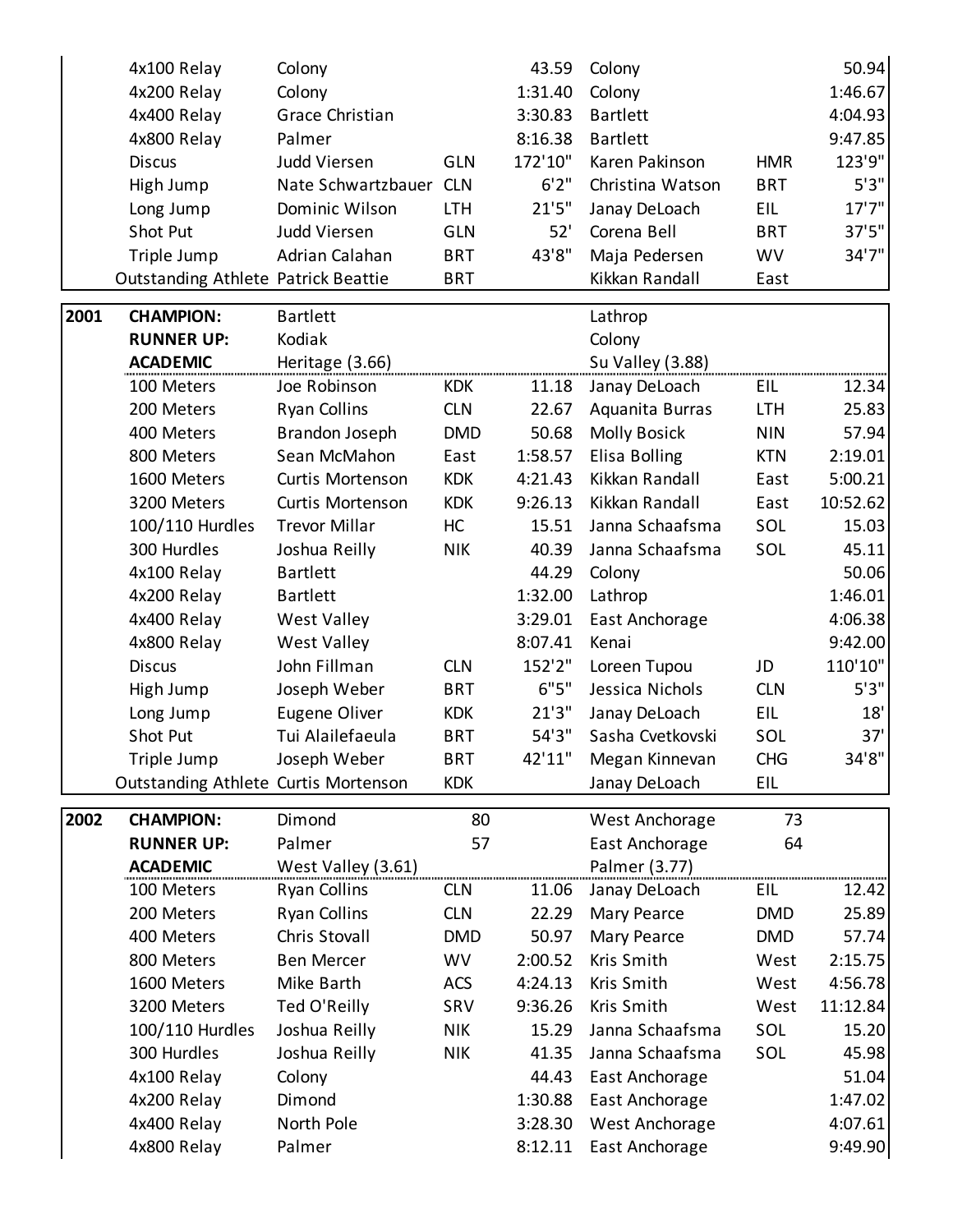|      | 4x100 Relay                                | Colony                 |            | 43.59   | Colony                  |            | 50.94    |
|------|--------------------------------------------|------------------------|------------|---------|-------------------------|------------|----------|
|      | 4x200 Relay                                | Colony                 |            | 1:31.40 | Colony                  |            | 1:46.67  |
|      | 4x400 Relay                                | Grace Christian        |            | 3:30.83 | <b>Bartlett</b>         |            | 4:04.93  |
|      | 4x800 Relay                                | Palmer                 |            | 8:16.38 | <b>Bartlett</b>         |            | 9:47.85  |
|      | <b>Discus</b>                              | <b>Judd Viersen</b>    | <b>GLN</b> | 172'10" | Karen Pakinson          | <b>HMR</b> | 123'9"   |
|      | High Jump                                  | Nate Schwartzbauer CLN |            | 6'2''   | Christina Watson        | <b>BRT</b> | 5'3"     |
|      | Long Jump                                  | Dominic Wilson         | <b>LTH</b> | 21'5''  | Janay DeLoach           | <b>EIL</b> | 17'7''   |
|      | Shot Put                                   | <b>Judd Viersen</b>    | <b>GLN</b> | 52'     | Corena Bell             | <b>BRT</b> | 37'5''   |
|      | Triple Jump                                | Adrian Calahan         | <b>BRT</b> | 43'8"   | Maja Pedersen           | <b>WV</b>  | 34'7"    |
|      | <b>Outstanding Athlete Patrick Beattie</b> |                        | <b>BRT</b> |         | Kikkan Randall          | East       |          |
| 2001 | <b>CHAMPION:</b>                           | <b>Bartlett</b>        |            |         | Lathrop                 |            |          |
|      | <b>RUNNER UP:</b>                          | Kodiak                 |            |         | Colony                  |            |          |
|      | <b>ACADEMIC</b>                            | Heritage (3.66)        |            |         | <b>Su Valley (3.88)</b> |            |          |
|      | 100 Meters                                 | Joe Robinson           | <b>KDK</b> | 11.18   | Janay DeLoach           | EIL        | 12.34    |
|      | 200 Meters                                 | <b>Ryan Collins</b>    | <b>CLN</b> | 22.67   | Aquanita Burras         | <b>LTH</b> | 25.83    |
|      | 400 Meters                                 | Brandon Joseph         | <b>DMD</b> | 50.68   | <b>Molly Bosick</b>     | <b>NIN</b> | 57.94    |
|      | 800 Meters                                 | Sean McMahon           | East       | 1:58.57 | Elisa Bolling           | <b>KTN</b> | 2:19.01  |
|      | 1600 Meters                                | Curtis Mortenson       | <b>KDK</b> | 4:21.43 | Kikkan Randall          | East       | 5:00.21  |
|      | 3200 Meters                                | Curtis Mortenson       | <b>KDK</b> | 9:26.13 | Kikkan Randall          | East       | 10:52.62 |
|      | 100/110 Hurdles                            | <b>Trevor Millar</b>   | HC         | 15.51   | Janna Schaafsma         | SOL        | 15.03    |
|      | 300 Hurdles                                | Joshua Reilly          | <b>NIK</b> | 40.39   | Janna Schaafsma         | SOL        | 45.11    |
|      | 4x100 Relay                                | <b>Bartlett</b>        |            | 44.29   | Colony                  |            | 50.06    |
|      | 4x200 Relay                                | <b>Bartlett</b>        |            | 1:32.00 | Lathrop                 |            | 1:46.01  |
|      | 4x400 Relay                                | West Valley            |            | 3:29.01 | East Anchorage          |            | 4:06.38  |
|      | 4x800 Relay                                | West Valley            |            | 8:07.41 | Kenai                   |            | 9:42.00  |
|      | <b>Discus</b>                              | John Fillman           | <b>CLN</b> | 152'2"  | Loreen Tupou            | JD         | 110'10"  |
|      | High Jump                                  | Joseph Weber           | <b>BRT</b> | 6"5"    | Jessica Nichols         | <b>CLN</b> | 5'3''    |
|      | Long Jump                                  | Eugene Oliver          | <b>KDK</b> | 21'3''  | Janay DeLoach           | EIL        | 18'      |
|      | Shot Put                                   | Tui Alailefaeula       | <b>BRT</b> | 54'3"   | Sasha Cvetkovski        | SOL        | 37'      |
|      | Triple Jump                                | Joseph Weber           | <b>BRT</b> | 42'11"  | Megan Kinnevan          | <b>CHG</b> | 34'8"    |
|      | Outstanding Athlete Curtis Mortenson       |                        | <b>KDK</b> |         | Janay DeLoach           | EIL        |          |
| 2002 | <b>CHAMPION:</b>                           | Dimond                 | 80         |         | West Anchorage          | 73         |          |
|      | <b>RUNNER UP:</b>                          | Palmer                 | 57         |         | East Anchorage          | 64         |          |
|      | <b>ACADEMIC</b>                            | West Valley (3.61)     |            |         | Palmer (3.77)           |            |          |
|      | 100 Meters                                 | <b>Ryan Collins</b>    | <b>CLN</b> | 11.06   | Janay DeLoach           | EIL        | 12.42    |
|      | 200 Meters                                 | <b>Ryan Collins</b>    | <b>CLN</b> | 22.29   | <b>Mary Pearce</b>      | <b>DMD</b> | 25.89    |
|      | 400 Meters                                 | Chris Stovall          | <b>DMD</b> | 50.97   | Mary Pearce             | <b>DMD</b> | 57.74    |
|      | 800 Meters                                 | <b>Ben Mercer</b>      | <b>WV</b>  | 2:00.52 | Kris Smith              | West       | 2:15.75  |
|      | 1600 Meters                                | Mike Barth             | <b>ACS</b> | 4:24.13 | Kris Smith              | West       | 4:56.78  |
|      | 3200 Meters                                | Ted O'Reilly           | SRV        | 9:36.26 | Kris Smith              | West       | 11:12.84 |
|      | 100/110 Hurdles                            | Joshua Reilly          | <b>NIK</b> | 15.29   | Janna Schaafsma         | SOL        | 15.20    |
|      | 300 Hurdles                                | Joshua Reilly          | <b>NIK</b> | 41.35   | Janna Schaafsma         | SOL        | 45.98    |
|      | 4x100 Relay                                | Colony                 |            | 44.43   | East Anchorage          |            | 51.04    |
|      | 4x200 Relay                                | Dimond                 |            | 1:30.88 | East Anchorage          |            | 1:47.02  |
|      | 4x400 Relay                                | North Pole             |            | 3:28.30 | West Anchorage          |            | 4:07.61  |
|      | 4x800 Relay                                | Palmer                 |            | 8:12.11 | East Anchorage          |            | 9:49.90  |